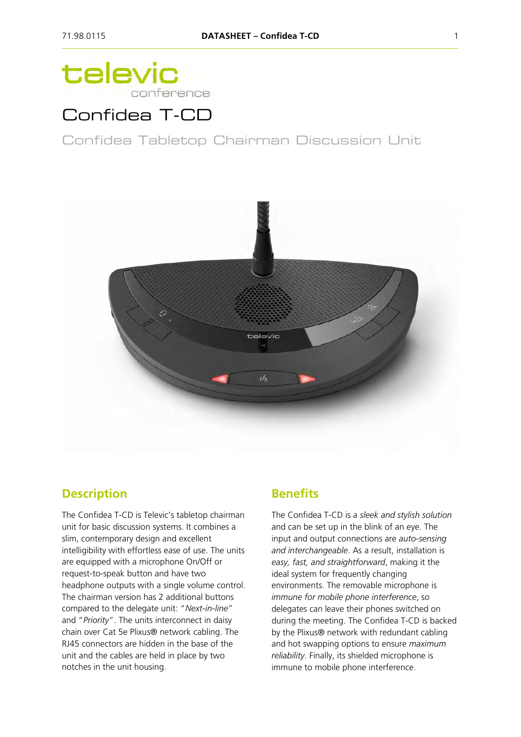# televic conference

## Confidea T-CD

Confidea Tabletop Chairman Discussion Unit



#### **Description**

The Confidea T-CD is Televic's tabletop chairman unit for basic discussion systems. It combines a slim, contemporary design and excellent intelligibility with effortless ease of use. The units are equipped with a microphone On/Off or request-to-speak button and have two headphone outputs with a single volume control. The chairman version has 2 additional buttons compared to the delegate unit: "*Next-in-line*" and "*Priority*". The units interconnect in daisy chain over Cat 5e Plixus® network cabling. The RJ45 connectors are hidden in the base of the unit and the cables are held in place by two notches in the unit housing.

### **Benefits**

The Confidea T-CD is a *sleek and stylish solution* and can be set up in the blink of an eye. The input and output connections are *auto-sensing and interchangeable*. As a result, installation is *easy, fast, and straightforward*, making it the ideal system for frequently changing environments. The removable microphone is *immune for mobile phone interference*, so delegates can leave their phones switched on during the meeting. The Confidea T-CD is backed by the Plixus® network with redundant cabling and hot swapping options to ensure *maximum reliability*. Finally, its shielded microphone is immune to mobile phone interference.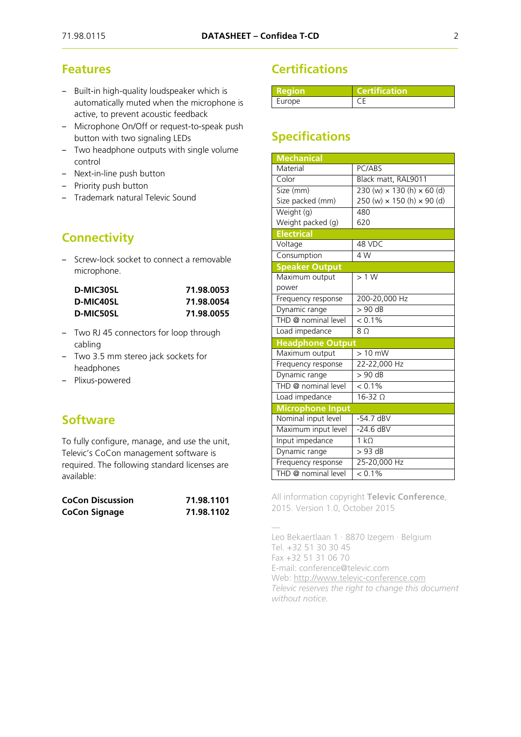### **Features**

- Built-in high-quality loudspeaker which is automatically muted when the microphone is active, to prevent acoustic feedback
- Microphone On/Off or request-to-speak push button with two signaling LEDs
- ‒ Two headphone outputs with single volume control
- Next-in-line push button
- Priority push button
- ‒ Trademark natural Televic Sound

## **Connectivity**

‒ Screw-lock socket to connect a removable microphone.

| D-MIC30SL | 71.98.0053 |  |
|-----------|------------|--|
| D-MIC40SL | 71.98.0054 |  |
| D-MIC50SL | 71.98.0055 |  |

- ‒ Two RJ 45 connectors for loop through cabling
- ‒ Two 3.5 mm stereo jack sockets for headphones
- ‒ Plixus-powered

## **Software**

To fully configure, manage, and use the unit, Televic's CoCon management software is required. The following standard licenses are available:

| <b>CoCon Discussion</b> | 71.98.1101 |
|-------------------------|------------|
| <b>CoCon Signage</b>    | 71.98.1102 |

## **Certifications**

| l Redionz | <b>Certification</b> |
|-----------|----------------------|
| Europe    |                      |

## **Specifications**

| <b>Mechanical</b>       |                                          |
|-------------------------|------------------------------------------|
| Material                | PC/ABS                                   |
| Color                   | Black matt, RAL9011                      |
| Size (mm)               | $230 (w) \times 130 (h) \times 60 (d)$   |
| Size packed (mm)        | 250 (w) $\times$ 150 (h) $\times$ 90 (d) |
| Weight (g)              | 480                                      |
| Weight packed (g)       | 620                                      |
| <b>Electrical</b>       |                                          |
| Voltage                 | 48 VDC                                   |
| Consumption             | 4W                                       |
| <b>Speaker Output</b>   |                                          |
| Maximum output          | >1 W                                     |
| power                   |                                          |
| Frequency response      | 200-20,000 Hz                            |
| Dynamic range           | $> 90 \overline{dB}$                     |
| THD @ nominal level     | $< 0.1\%$                                |
| Load impedance          | 8 0                                      |
| <b>Headphone Output</b> |                                          |
| Maximum output          | $> 10$ mW                                |
| Frequency response      | 22-22,000 Hz                             |
| Dynamic range           | $> 90$ dB                                |
| THD @ nominal level     | $< 0.1\%$                                |
| Load impedance          | $16-32$ $\Omega$                         |
| <b>Microphone Input</b> |                                          |
| Nominal input level     | $-54.7$ dBV                              |
| Maximum input level     | $-24.6$ dBV                              |
| Input impedance         | $1 k\Omega$                              |
| Dynamic range           | $> 93$ dB                                |
| Frequency response      | 25-20,000 Hz                             |
| THD @ nominal level     | $< 0.1\%$                                |

All information copyright **Televic Conference**, 2015. Version 1.0, October 2015

— Leo Bekaertlaan 1 · 8870 Izegem · Belgium Tel. +32 51 30 30 45 Fax +32 51 31 06 70 E-mail: conference@televic.com Web: [http://www.televic-conference.com](http://www.televic-conference.com/) *Televic reserves the right to change this document without notice.*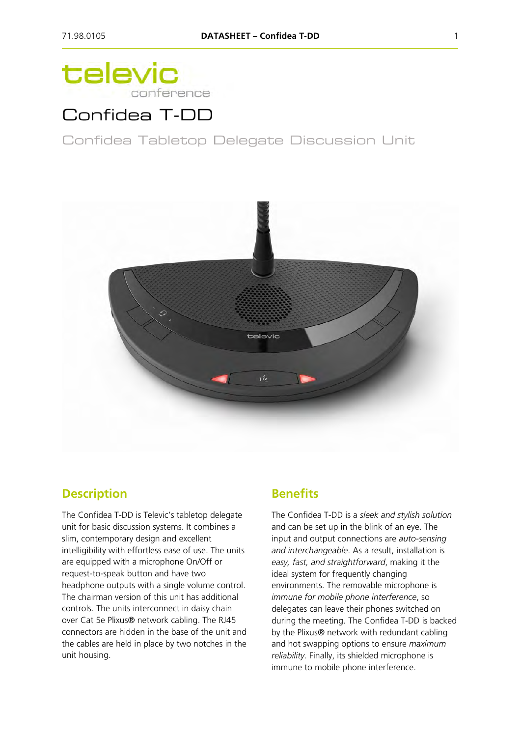# televic conference

## Confidea T-DD

Confidea Tabletop Delegate Discussion Unit



### **Description**

The Confidea T-DD is Televic's tabletop delegate unit for basic discussion systems. It combines a slim, contemporary design and excellent intelligibility with effortless ease of use. The units are equipped with a microphone On/Off or request-to-speak button and have two headphone outputs with a single volume control. The chairman version of this unit has additional controls. The units interconnect in daisy chain over Cat 5e Plixus® network cabling. The RJ45 connectors are hidden in the base of the unit and the cables are held in place by two notches in the unit housing.

### **Benefits**

The Confidea T-DD is a *sleek and stylish solution* and can be set up in the blink of an eye. The input and output connections are *auto-sensing and interchangeable*. As a result, installation is *easy, fast, and straightforward*, making it the ideal system for frequently changing environments. The removable microphone is *immune for mobile phone interference*, so delegates can leave their phones switched on during the meeting. The Confidea T-DD is backed by the Plixus® network with redundant cabling and hot swapping options to ensure *maximum reliability*. Finally, its shielded microphone is immune to mobile phone interference.